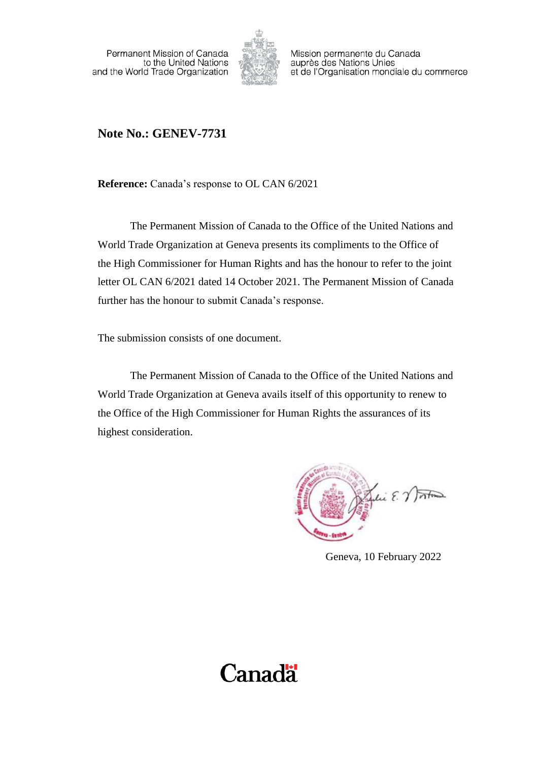Permanent Mission of Canada to the United Nations and the World Trade Organization



Mission permanente du Canada auprès des Nations Unies et de l'Organisation mondiale du commerce

# **Note No.: GENEV-7731**

**Reference:** Canada's response to OL CAN 6/2021

The Permanent Mission of Canada to the Office of the United Nations and World Trade Organization at Geneva presents its compliments to the Office of the High Commissioner for Human Rights and has the honour to refer to the joint letter OL CAN 6/2021 dated 14 October 2021. The Permanent Mission of Canada further has the honour to submit Canada's response.

The submission consists of one document.

The Permanent Mission of Canada to the Office of the United Nations and World Trade Organization at Geneva avails itself of this opportunity to renew to the Office of the High Commissioner for Human Rights the assurances of its highest consideration.

Jelie E. Vontin

Geneva, 10 February 2022

# **Canadä**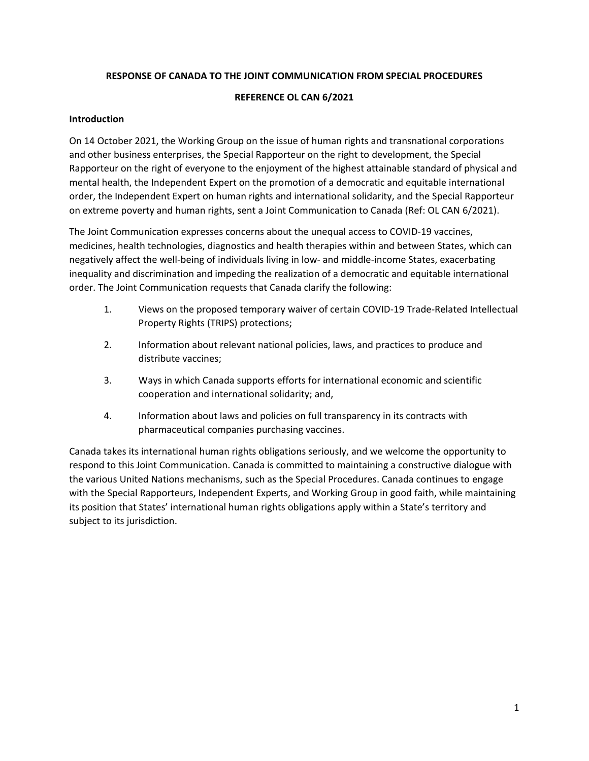#### **RESPONSE OF CANADA TO THE JOINT COMMUNICATION FROM SPECIAL PROCEDURES**

#### **REFERENCE OL CAN 6/2021**

#### **Introduction**

On 14 October 2021, the Working Group on the issue of human rights and transnational corporations and other business enterprises, the Special Rapporteur on the right to development, the Special Rapporteur on the right of everyone to the enjoyment of the highest attainable standard of physical and mental health, the Independent Expert on the promotion of a democratic and equitable international order, the Independent Expert on human rights and international solidarity, and the Special Rapporteur on extreme poverty and human rights, sent a Joint Communication to Canada (Ref: OL CAN 6/2021).

The Joint Communication expresses concerns about the unequal access to COVID-19 vaccines, medicines, health technologies, diagnostics and health therapies within and between States, which can negatively affect the well-being of individuals living in low- and middle-income States, exacerbating inequality and discrimination and impeding the realization of a democratic and equitable international order. The Joint Communication requests that Canada clarify the following:

- 1. Views on the proposed temporary waiver of certain COVID-19 Trade-Related Intellectual Property Rights (TRIPS) protections;
- 2. Information about relevant national policies, laws, and practices to produce and distribute vaccines;
- 3. Ways in which Canada supports efforts for international economic and scientific cooperation and international solidarity; and,
- 4. Information about laws and policies on full transparency in its contracts with pharmaceutical companies purchasing vaccines.

Canada takes its international human rights obligations seriously, and we welcome the opportunity to respond to this Joint Communication. Canada is committed to maintaining a constructive dialogue with the various United Nations mechanisms, such as the Special Procedures. Canada continues to engage with the Special Rapporteurs, Independent Experts, and Working Group in good faith, while maintaining its position that States' international human rights obligations apply within a State's territory and subject to its jurisdiction.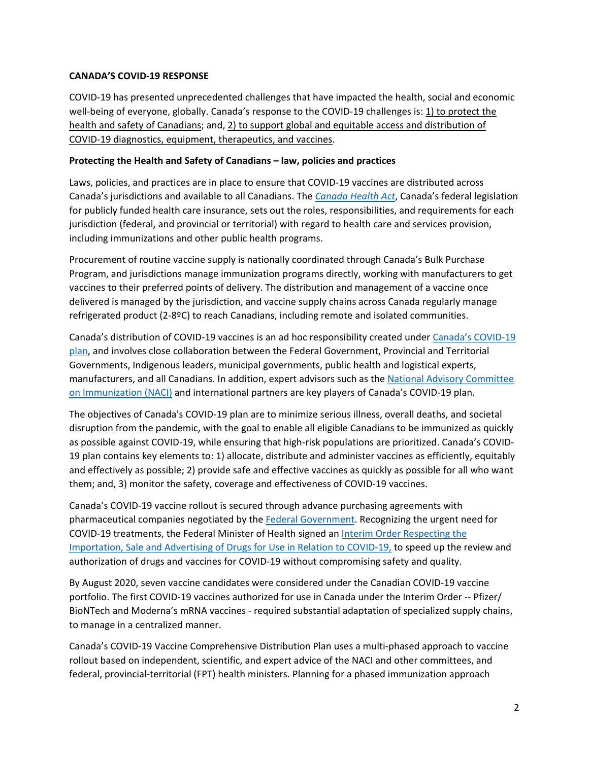#### **CANADA'S COVID-19 RESPONSE**

COVID-19 has presented unprecedented challenges that have impacted the health, social and economic well-being of everyone, globally. Canada's response to the COVID-19 challenges is: 1) to protect the health and safety of Canadians; and, 2) to support global and equitable access and distribution of COVID-19 diagnostics, equipment, therapeutics, and vaccines.

#### **Protecting the Health and Safety of Canadians – law, policies and practices**

Laws, policies, and practices are in place to ensure that COVID-19 vaccines are distributed across Canada's jurisdictions and available to all Canadians. The *[Canada Health Act](https://www.canada.ca/en/health-canada/services/health-care-system/canada-health-care-system-medicare/canada-health-act.html)*, Canada's federal legislation for publicly funded health care insurance, sets out the roles, responsibilities, and requirements for each jurisdiction (federal, and provincial or territorial) with regard to health care and services provision, including immunizations and other public health programs.

Procurement of routine vaccine supply is nationally coordinated through Canada's Bulk Purchase Program, and jurisdictions manage immunization programs directly, working with manufacturers to get vaccines to their preferred points of delivery. The distribution and management of a vaccine once delivered is managed by the jurisdiction, and vaccine supply chains across Canada regularly manage refrigerated product (2-8ºC) to reach Canadians, including remote and isolated communities.

Canada's distribution of COVID-19 vaccines is an ad hoc responsibility created under [Canada's COVID-19](https://www.canada.ca/en/public-health/services/diseases/2019-novel-coronavirus-infection/canadas-reponse/canadas-covid-19-immunization-plan.html#a1)  [plan,](https://www.canada.ca/en/public-health/services/diseases/2019-novel-coronavirus-infection/canadas-reponse/canadas-covid-19-immunization-plan.html#a1) and involves close collaboration between the Federal Government, Provincial and Territorial Governments, Indigenous leaders, municipal governments, public health and logistical experts, manufacturers, and all Canadians. In addition, expert advisors such as the [National Advisory Committee](https://www.canada.ca/en/public-health/services/immunization/national-advisory-committee-on-immunization-naci.html)  [on Immunization \(NACI\)](https://www.canada.ca/en/public-health/services/immunization/national-advisory-committee-on-immunization-naci.html) and international partners are key players of Canada's COVID-19 plan.

The objectives of Canada's COVID-19 plan are to minimize serious illness, overall deaths, and societal disruption from the pandemic, with the goal to enable all eligible Canadians to be immunized as quickly as possible against COVID-19, while ensuring that high-risk populations are prioritized. Canada's COVID-19 plan contains key elements to: 1) allocate, distribute and administer vaccines as efficiently, equitably and effectively as possible; 2) provide safe and effective vaccines as quickly as possible for all who want them; and, 3) monitor the safety, coverage and effectiveness of COVID-19 vaccines.

Canada's COVID-19 vaccine rollout is secured through advance purchasing agreements with pharmaceutical companies negotiated by the [Federal Government.](https://www.canada.ca/en/public-services-procurement/services/procuring-vaccines-covid19.html) Recognizing the urgent need for COVID-19 treatments, the Federal Minister of Health signed an [Interim Order Respecting the](https://www.canada.ca/en/health-canada/services/drugs-health-products/covid19-industry/interim-order-respecting-clinical-trials-medical-devices-drugs.html)  [Importation, Sale and Advertising of Drugs for Use in Relation to COVID-19,](https://www.canada.ca/en/health-canada/services/drugs-health-products/covid19-industry/interim-order-respecting-clinical-trials-medical-devices-drugs.html) to speed up the review and authorization of drugs and vaccines for COVID-19 without compromising safety and quality.

By August 2020, seven vaccine candidates were considered under the Canadian COVID-19 vaccine portfolio. The first COVID-19 vaccines authorized for use in Canada under the Interim Order -- Pfizer/ BioNTech and Moderna's mRNA vaccines - required substantial adaptation of specialized supply chains, to manage in a centralized manner.

Canada's COVID-19 Vaccine Comprehensive Distribution Plan uses a multi-phased approach to vaccine rollout based on independent, scientific, and expert advice of the NACI and other committees, and federal, provincial-territorial (FPT) health ministers. Planning for a phased immunization approach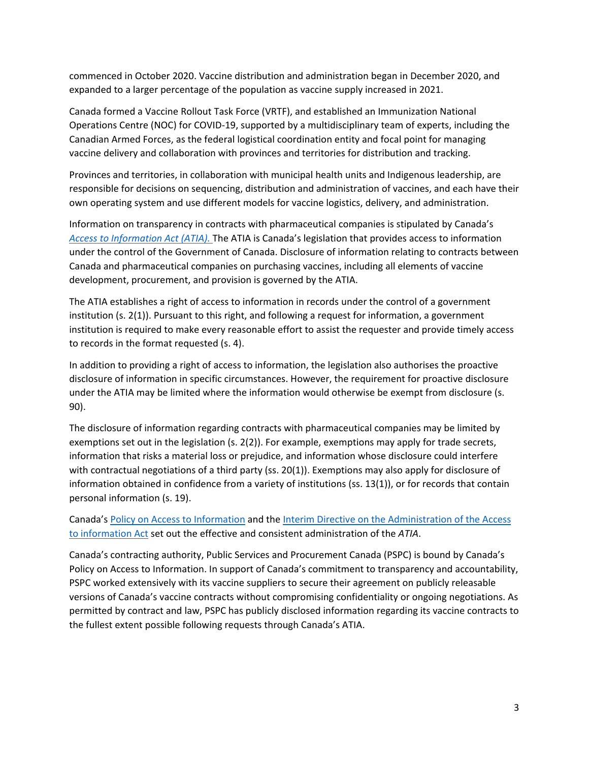commenced in October 2020. Vaccine distribution and administration began in December 2020, and expanded to a larger percentage of the population as vaccine supply increased in 2021.

Canada formed a Vaccine Rollout Task Force (VRTF), and established an Immunization National Operations Centre (NOC) for COVID-19, supported by a multidisciplinary team of experts, including the Canadian Armed Forces, as the federal logistical coordination entity and focal point for managing vaccine delivery and collaboration with provinces and territories for distribution and tracking.

Provinces and territories, in collaboration with municipal health units and Indigenous leadership, are responsible for decisions on sequencing, distribution and administration of vaccines, and each have their own operating system and use different models for vaccine logistics, delivery, and administration.

Information on transparency in contracts with pharmaceutical companies is stipulated by Canada's *[Access to Information Act \(ATIA\).](https://laws-lois.justice.gc.ca/eng/acts/a-1/)* The ATIA is Canada's legislation that provides access to information under the control of the Government of Canada. Disclosure of information relating to contracts between Canada and pharmaceutical companies on purchasing vaccines, including all elements of vaccine development, procurement, and provision is governed by the ATIA.

The ATIA establishes a right of access to information in records under the control of a government institution (s. 2(1)). Pursuant to this right, and following a request for information, a government institution is required to make every reasonable effort to assist the requester and provide timely access to records in the format requested (s. 4).

In addition to providing a right of access to information, the legislation also authorises the proactive disclosure of information in specific circumstances. However, the requirement for proactive disclosure under the ATIA may be limited where the information would otherwise be exempt from disclosure (s. 90).

The disclosure of information regarding contracts with pharmaceutical companies may be limited by exemptions set out in the legislation (s. 2(2)). For example, exemptions may apply for trade secrets, information that risks a material loss or prejudice, and information whose disclosure could interfere with contractual negotiations of a third party (ss. 20(1)). Exemptions may also apply for disclosure of information obtained in confidence from a variety of institutions (ss. 13(1)), or for records that contain personal information (s. 19).

Canada's [Policy on Access to Information](https://www.tbs-sct.gc.ca/pol/doc-eng.aspx?id=12453) and the [Interim Directive on the Administration of the Access](https://www.tbs-sct.gc.ca/pol/doc-eng.aspx?id=18310)  [to information Act](https://www.tbs-sct.gc.ca/pol/doc-eng.aspx?id=18310) set out the effective and consistent administration of the *ATIA*.

Canada's contracting authority, Public Services and Procurement Canada (PSPC) is bound by Canada's Policy on Access to Information. In support of Canada's commitment to transparency and accountability, PSPC worked extensively with its vaccine suppliers to secure their agreement on publicly releasable versions of Canada's vaccine contracts without compromising confidentiality or ongoing negotiations. As permitted by contract and law, PSPC has publicly disclosed information regarding its vaccine contracts to the fullest extent possible following requests through Canada's ATIA.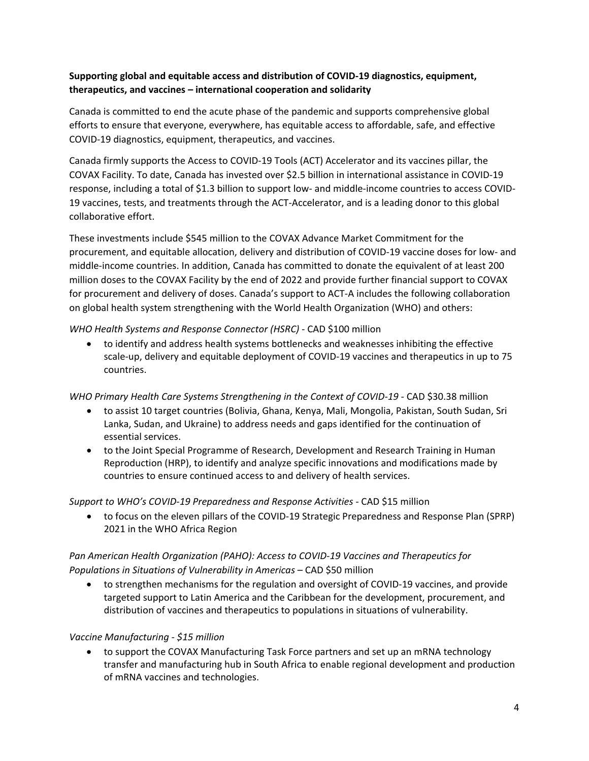# **Supporting global and equitable access and distribution of COVID-19 diagnostics, equipment, therapeutics, and vaccines – international cooperation and solidarity**

Canada is committed to end the acute phase of the pandemic and supports comprehensive global efforts to ensure that everyone, everywhere, has equitable access to affordable, safe, and effective COVID-19 diagnostics, equipment, therapeutics, and vaccines.

Canada firmly supports the Access to COVID-19 Tools (ACT) Accelerator and its vaccines pillar, the COVAX Facility. To date, Canada has invested over \$2.5 billion in international assistance in COVID-19 response, including a total of \$1.3 billion to support low- and middle-income countries to access COVID-19 vaccines, tests, and treatments through the ACT-Accelerator, and is a leading donor to this global collaborative effort.

These investments include \$545 million to the COVAX Advance Market Commitment for the procurement, and equitable allocation, delivery and distribution of COVID-19 vaccine doses for low- and middle-income countries. In addition, Canada has committed to donate the equivalent of at least 200 million doses to the COVAX Facility by the end of 2022 and provide further financial support to COVAX for procurement and delivery of doses. Canada's support to ACT-A includes the following collaboration on global health system strengthening with the World Health Organization (WHO) and others:

*WHO Health Systems and Response Connector (HSRC) -* CAD \$100 million

• to identify and address health systems bottlenecks and weaknesses inhibiting the effective scale-up, delivery and equitable deployment of COVID-19 vaccines and therapeutics in up to 75 countries.

#### *WHO Primary Health Care Systems Strengthening in the Context of COVID-19 -* CAD \$30.38 million

- to assist 10 target countries (Bolivia, Ghana, Kenya, Mali, Mongolia, Pakistan, South Sudan, Sri Lanka, Sudan, and Ukraine) to address needs and gaps identified for the continuation of essential services.
- to the Joint Special Programme of Research, Development and Research Training in Human Reproduction (HRP), to identify and analyze specific innovations and modifications made by countries to ensure continued access to and delivery of health services.

*Support to WHO's COVID-19 Preparedness and Response Activities -* CAD \$15 million

• to focus on the eleven pillars of the COVID-19 Strategic Preparedness and Response Plan (SPRP) 2021 in the WHO Africa Region

# *Pan American Health Organization (PAHO): Access to COVID-19 Vaccines and Therapeutics for Populations in Situations of Vulnerability in Americas* – CAD \$50 million

• to strengthen mechanisms for the regulation and oversight of COVID-19 vaccines, and provide targeted support to Latin America and the Caribbean for the development, procurement, and distribution of vaccines and therapeutics to populations in situations of vulnerability.

### *Vaccine Manufacturing - \$15 million*

• to support the COVAX Manufacturing Task Force partners and set up an mRNA technology transfer and manufacturing hub in South Africa to enable regional development and production of mRNA vaccines and technologies.